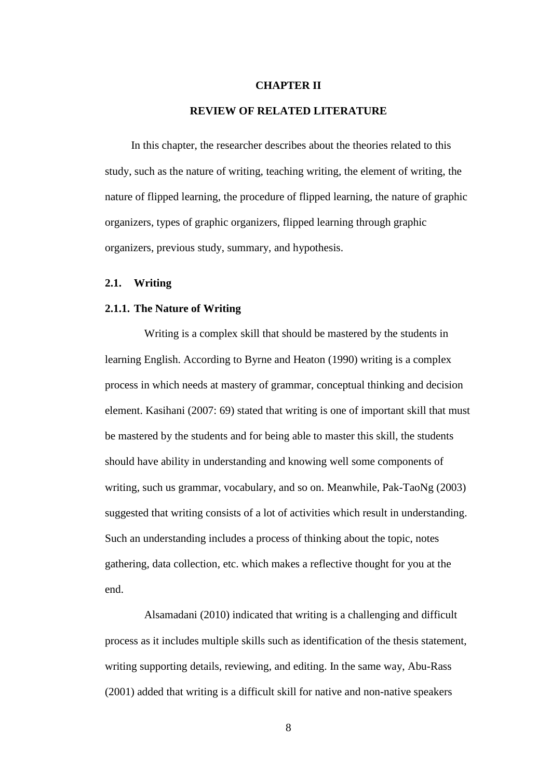#### **CHAPTER II**

# **REVIEW OF RELATED LITERATURE**

In this chapter, the researcher describes about the theories related to this study, such as the nature of writing, teaching writing, the element of writing, the nature of flipped learning, the procedure of flipped learning, the nature of graphic organizers, types of graphic organizers, flipped learning through graphic organizers, previous study, summary, and hypothesis.

#### **2.1. Writing**

### **2.1.1. The Nature of Writing**

Writing is a complex skill that should be mastered by the students in learning English. According to Byrne and Heaton (1990) writing is a complex process in which needs at mastery of grammar, conceptual thinking and decision element. Kasihani (2007: 69) stated that writing is one of important skill that must be mastered by the students and for being able to master this skill, the students should have ability in understanding and knowing well some components of writing, such us grammar, vocabulary, and so on. Meanwhile, Pak-TaoNg (2003) suggested that writing consists of a lot of activities which result in understanding. Such an understanding includes a process of thinking about the topic, notes gathering, data collection, etc. which makes a reflective thought for you at the end.

Alsamadani (2010) indicated that writing is a challenging and difficult process as it includes multiple skills such as identification of the thesis statement, writing supporting details, reviewing, and editing. In the same way, Abu-Rass (2001) added that writing is a difficult skill for native and non-native speakers

8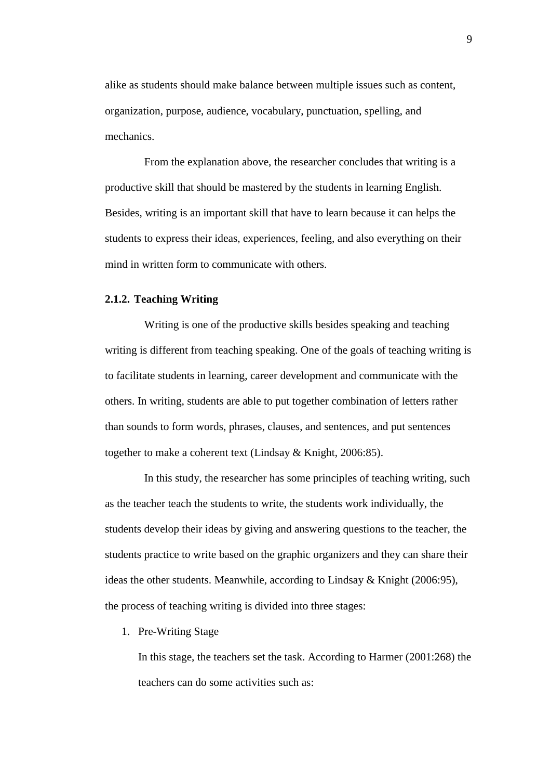alike as students should make balance between multiple issues such as content, organization, purpose, audience, vocabulary, punctuation, spelling, and mechanics.

From the explanation above, the researcher concludes that writing is a productive skill that should be mastered by the students in learning English. Besides, writing is an important skill that have to learn because it can helps the students to express their ideas, experiences, feeling, and also everything on their mind in written form to communicate with others.

#### **2.1.2. Teaching Writing**

Writing is one of the productive skills besides speaking and teaching writing is different from teaching speaking. One of the goals of teaching writing is to facilitate students in learning, career development and communicate with the others. In writing, students are able to put together combination of letters rather than sounds to form words, phrases, clauses, and sentences, and put sentences together to make a coherent text (Lindsay & Knight, 2006:85).

In this study, the researcher has some principles of teaching writing, such as the teacher teach the students to write, the students work individually, the students develop their ideas by giving and answering questions to the teacher, the students practice to write based on the graphic organizers and they can share their ideas the other students. Meanwhile, according to Lindsay & Knight (2006:95), the process of teaching writing is divided into three stages:

1. Pre-Writing Stage

In this stage, the teachers set the task. According to Harmer (2001:268) the teachers can do some activities such as: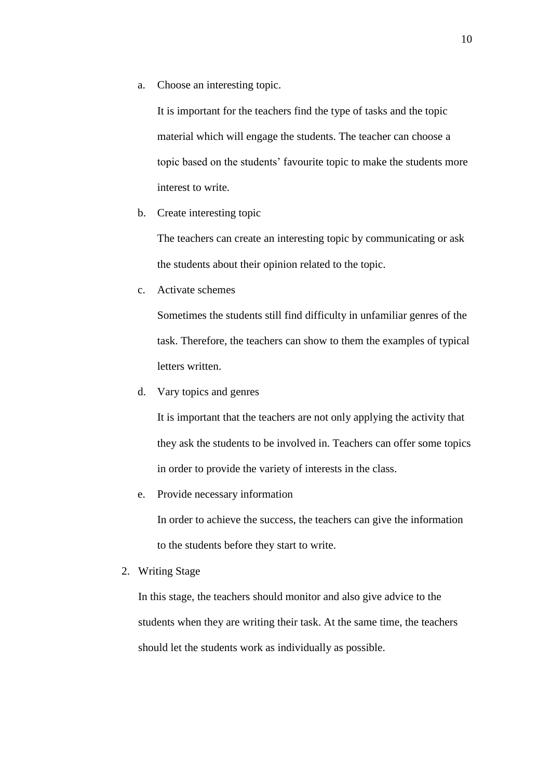a. Choose an interesting topic.

It is important for the teachers find the type of tasks and the topic material which will engage the students. The teacher can choose a topic based on the students' favourite topic to make the students more interest to write.

b. Create interesting topic

The teachers can create an interesting topic by communicating or ask the students about their opinion related to the topic.

c. Activate schemes

Sometimes the students still find difficulty in unfamiliar genres of the task. Therefore, the teachers can show to them the examples of typical letters written.

d. Vary topics and genres

It is important that the teachers are not only applying the activity that they ask the students to be involved in. Teachers can offer some topics in order to provide the variety of interests in the class.

e. Provide necessary information

In order to achieve the success, the teachers can give the information to the students before they start to write.

2. Writing Stage

In this stage, the teachers should monitor and also give advice to the students when they are writing their task. At the same time, the teachers should let the students work as individually as possible.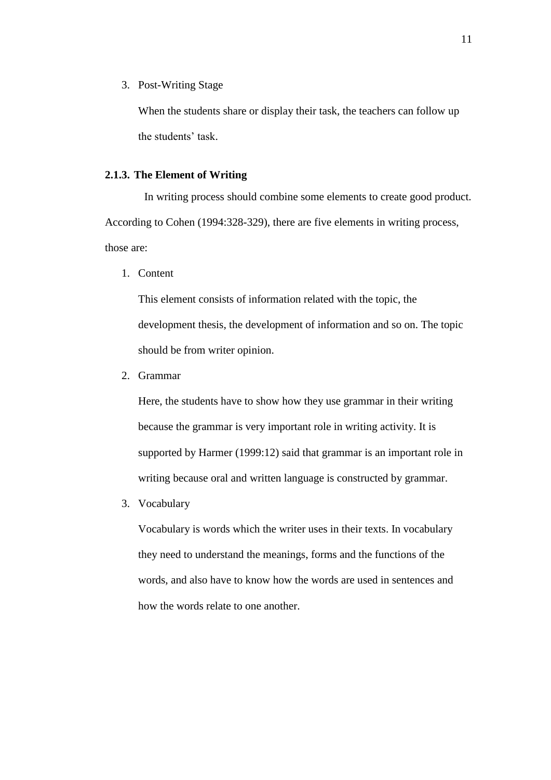3. Post-Writing Stage

When the students share or display their task, the teachers can follow up the students' task.

#### **2.1.3. The Element of Writing**

In writing process should combine some elements to create good product. According to Cohen (1994:328-329), there are five elements in writing process, those are:

1. Content

This element consists of information related with the topic, the development thesis, the development of information and so on. The topic should be from writer opinion.

2. Grammar

Here, the students have to show how they use grammar in their writing because the grammar is very important role in writing activity. It is supported by Harmer (1999:12) said that grammar is an important role in writing because oral and written language is constructed by grammar.

3. Vocabulary

Vocabulary is words which the writer uses in their texts. In vocabulary they need to understand the meanings, forms and the functions of the words, and also have to know how the words are used in sentences and how the words relate to one another.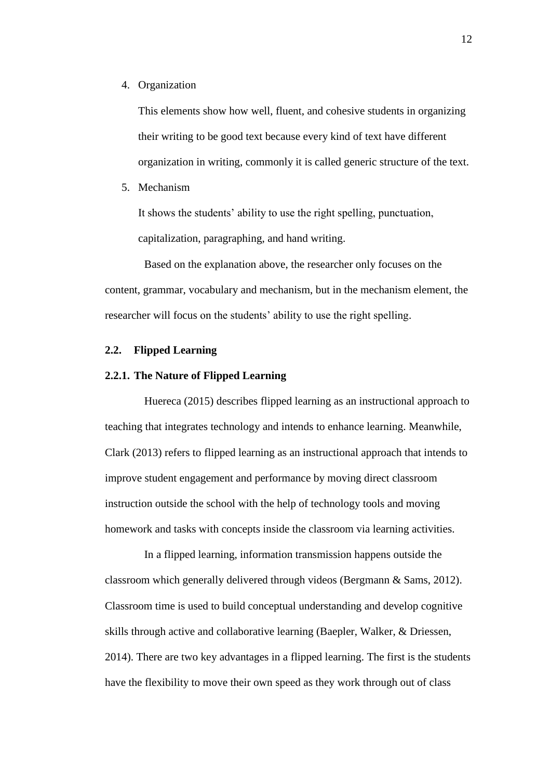4. Organization

This elements show how well, fluent, and cohesive students in organizing their writing to be good text because every kind of text have different organization in writing, commonly it is called generic structure of the text.

5. Mechanism

It shows the students' ability to use the right spelling, punctuation, capitalization, paragraphing, and hand writing.

Based on the explanation above, the researcher only focuses on the content, grammar, vocabulary and mechanism, but in the mechanism element, the researcher will focus on the students' ability to use the right spelling.

## **2.2. Flipped Learning**

## **2.2.1. The Nature of Flipped Learning**

Huereca (2015) describes flipped learning as an instructional approach to teaching that integrates technology and intends to enhance learning. Meanwhile, Clark (2013) refers to flipped learning as an instructional approach that intends to improve student engagement and performance by moving direct classroom instruction outside the school with the help of technology tools and moving homework and tasks with concepts inside the classroom via learning activities.

In a flipped learning, information transmission happens outside the classroom which generally delivered through videos (Bergmann & Sams, 2012). Classroom time is used to build conceptual understanding and develop cognitive skills through active and collaborative learning (Baepler, Walker, & Driessen, 2014). There are two key advantages in a flipped learning. The first is the students have the flexibility to move their own speed as they work through out of class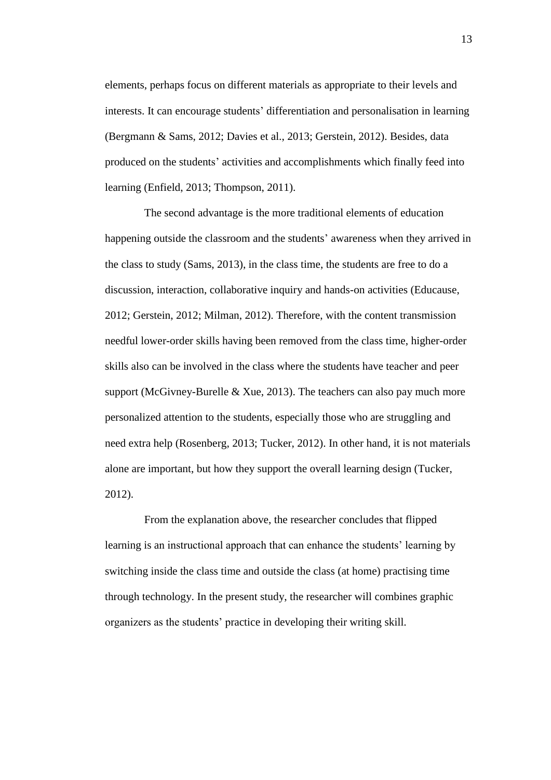elements, perhaps focus on different materials as appropriate to their levels and interests. It can encourage students' differentiation and personalisation in learning (Bergmann & Sams, 2012; Davies et al., 2013; Gerstein, 2012). Besides, data produced on the students' activities and accomplishments which finally feed into learning (Enfield, 2013; Thompson, 2011).

The second advantage is the more traditional elements of education happening outside the classroom and the students' awareness when they arrived in the class to study (Sams, 2013), in the class time, the students are free to do a discussion, interaction, collaborative inquiry and hands-on activities (Educause, 2012; Gerstein, 2012; Milman, 2012). Therefore, with the content transmission needful lower-order skills having been removed from the class time, higher-order skills also can be involved in the class where the students have teacher and peer support (McGivney-Burelle  $& Xue, 2013$ ). The teachers can also pay much more personalized attention to the students, especially those who are struggling and need extra help (Rosenberg, 2013; Tucker, 2012). In other hand, it is not materials alone are important, but how they support the overall learning design (Tucker, 2012).

From the explanation above, the researcher concludes that flipped learning is an instructional approach that can enhance the students' learning by switching inside the class time and outside the class (at home) practising time through technology. In the present study, the researcher will combines graphic organizers as the students' practice in developing their writing skill.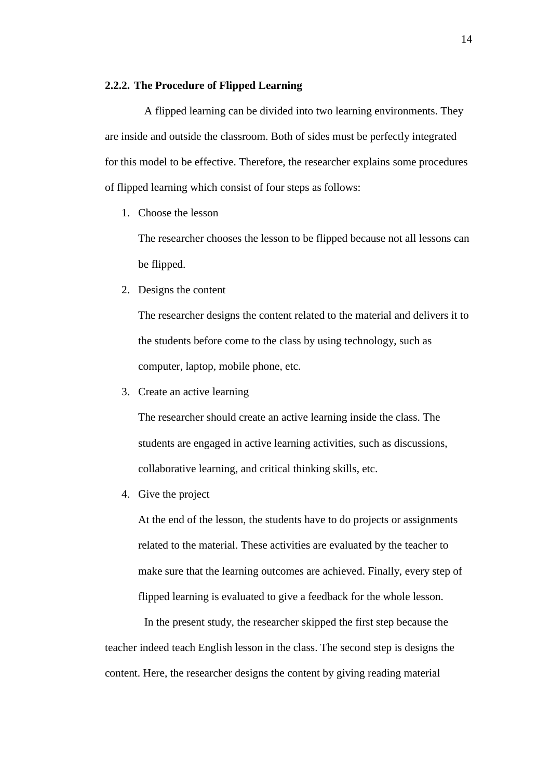## **2.2.2. The Procedure of Flipped Learning**

A flipped learning can be divided into two learning environments. They are inside and outside the classroom. Both of sides must be perfectly integrated for this model to be effective. Therefore, the researcher explains some procedures of flipped learning which consist of four steps as follows:

1. Choose the lesson

The researcher chooses the lesson to be flipped because not all lessons can be flipped.

2. Designs the content

The researcher designs the content related to the material and delivers it to the students before come to the class by using technology, such as computer, laptop, mobile phone, etc.

3. Create an active learning

The researcher should create an active learning inside the class. The students are engaged in active learning activities, such as discussions, collaborative learning, and critical thinking skills, etc.

4. Give the project

At the end of the lesson, the students have to do projects or assignments related to the material. These activities are evaluated by the teacher to make sure that the learning outcomes are achieved. Finally, every step of flipped learning is evaluated to give a feedback for the whole lesson.

In the present study, the researcher skipped the first step because the teacher indeed teach English lesson in the class. The second step is designs the content. Here, the researcher designs the content by giving reading material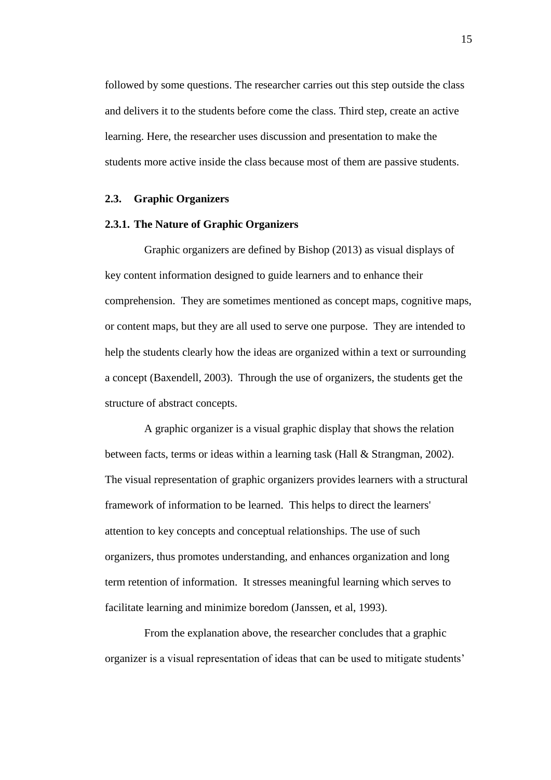followed by some questions. The researcher carries out this step outside the class and delivers it to the students before come the class. Third step, create an active learning. Here, the researcher uses discussion and presentation to make the students more active inside the class because most of them are passive students.

# **2.3. Graphic Organizers**

### **2.3.1. The Nature of Graphic Organizers**

Graphic organizers are defined by Bishop (2013) as visual displays of key content information designed to guide learners and to enhance their comprehension. They are sometimes mentioned as concept maps, cognitive maps, or content maps, but they are all used to serve one purpose. They are intended to help the students clearly how the ideas are organized within a text or surrounding a concept (Baxendell, 2003). Through the use of organizers, the students get the structure of abstract concepts.

A graphic organizer is a visual graphic display that shows the relation between facts, terms or ideas within a learning task (Hall & Strangman, 2002). The visual representation of graphic organizers provides learners with a structural framework of information to be learned. This helps to direct the learners' attention to key concepts and conceptual relationships. The use of such organizers, thus promotes understanding, and enhances organization and long term retention of information. It stresses meaningful learning which serves to facilitate learning and minimize boredom (Janssen, et al, 1993).

From the explanation above, the researcher concludes that a graphic organizer is a visual representation of ideas that can be used to mitigate students'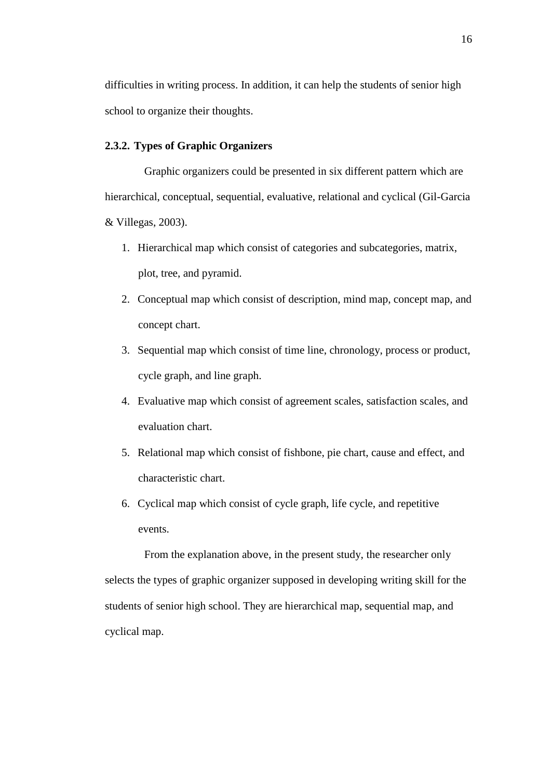difficulties in writing process. In addition, it can help the students of senior high school to organize their thoughts.

## **2.3.2. Types of Graphic Organizers**

Graphic organizers could be presented in six different pattern which are hierarchical, conceptual, sequential, evaluative, relational and cyclical (Gil-Garcia & Villegas, 2003).

- 1. Hierarchical map which consist of categories and subcategories, matrix, plot, tree, and pyramid.
- 2. Conceptual map which consist of description, mind map, concept map, and concept chart.
- 3. Sequential map which consist of time line, chronology, process or product, cycle graph, and line graph.
- 4. Evaluative map which consist of agreement scales, satisfaction scales, and evaluation chart.
- 5. Relational map which consist of fishbone, pie chart, cause and effect, and characteristic chart.
- 6. Cyclical map which consist of cycle graph, life cycle, and repetitive events.

From the explanation above, in the present study, the researcher only selects the types of graphic organizer supposed in developing writing skill for the students of senior high school. They are hierarchical map, sequential map, and cyclical map.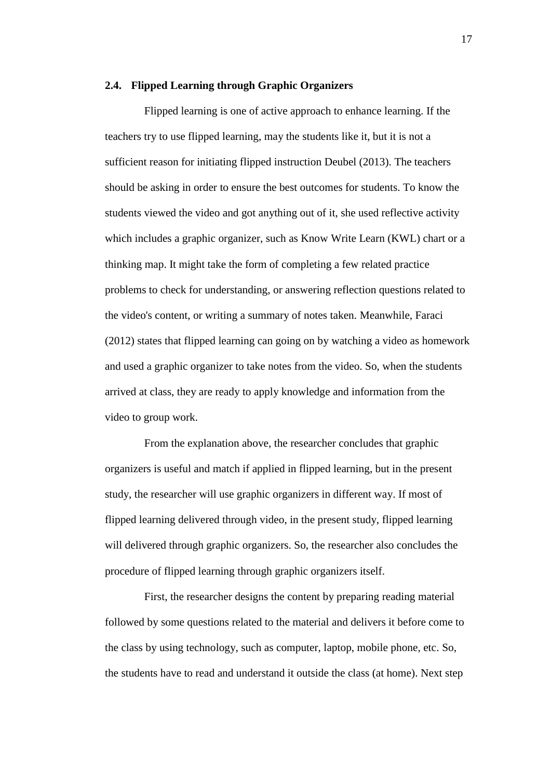#### **2.4. Flipped Learning through Graphic Organizers**

Flipped learning is one of active approach to enhance learning. If the teachers try to use flipped learning, may the students like it, but it is not a sufficient reason for initiating flipped instruction Deubel (2013). The teachers should be asking in order to ensure the best outcomes for students. To know the students viewed the video and got anything out of it, she used reflective activity which includes a graphic organizer, such as Know Write Learn (KWL) chart or a thinking map. It might take the form of completing a few related practice problems to check for understanding, or answering reflection questions related to the video's content, or writing a summary of notes taken. Meanwhile, Faraci (2012) states that flipped learning can going on by watching a video as homework and used a graphic organizer to take notes from the video. So, when the students arrived at class, they are ready to apply knowledge and information from the video to group work.

From the explanation above, the researcher concludes that graphic organizers is useful and match if applied in flipped learning, but in the present study, the researcher will use graphic organizers in different way. If most of flipped learning delivered through video, in the present study, flipped learning will delivered through graphic organizers. So, the researcher also concludes the procedure of flipped learning through graphic organizers itself.

First, the researcher designs the content by preparing reading material followed by some questions related to the material and delivers it before come to the class by using technology, such as computer, laptop, mobile phone, etc. So, the students have to read and understand it outside the class (at home). Next step

17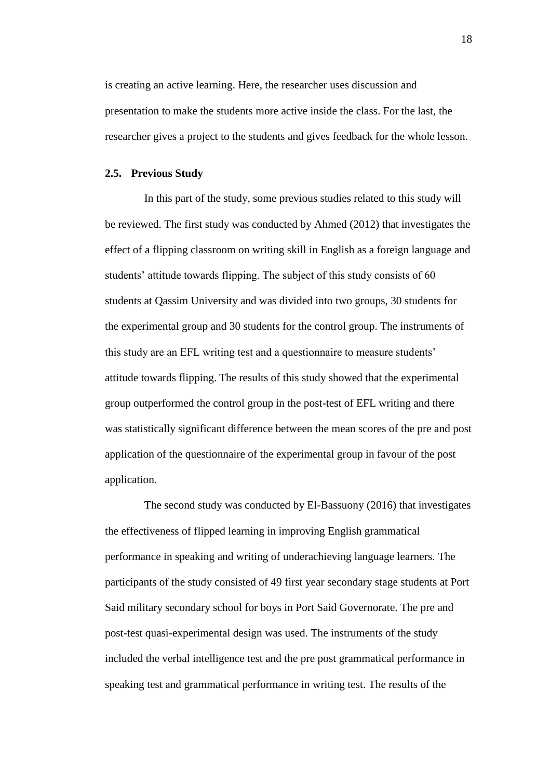is creating an active learning. Here, the researcher uses discussion and presentation to make the students more active inside the class. For the last, the researcher gives a project to the students and gives feedback for the whole lesson.

### **2.5. Previous Study**

In this part of the study, some previous studies related to this study will be reviewed. The first study was conducted by Ahmed (2012) that investigates the effect of a flipping classroom on writing skill in English as a foreign language and students' attitude towards flipping. The subject of this study consists of 60 students at Qassim University and was divided into two groups, 30 students for the experimental group and 30 students for the control group. The instruments of this study are an EFL writing test and a questionnaire to measure students' attitude towards flipping. The results of this study showed that the experimental group outperformed the control group in the post-test of EFL writing and there was statistically significant difference between the mean scores of the pre and post application of the questionnaire of the experimental group in favour of the post application.

The second study was conducted by El-Bassuony (2016) that investigates the effectiveness of flipped learning in improving English grammatical performance in speaking and writing of underachieving language learners. The participants of the study consisted of 49 first year secondary stage students at Port Said military secondary school for boys in Port Said Governorate. The pre and post-test quasi-experimental design was used. The instruments of the study included the verbal intelligence test and the pre post grammatical performance in speaking test and grammatical performance in writing test. The results of the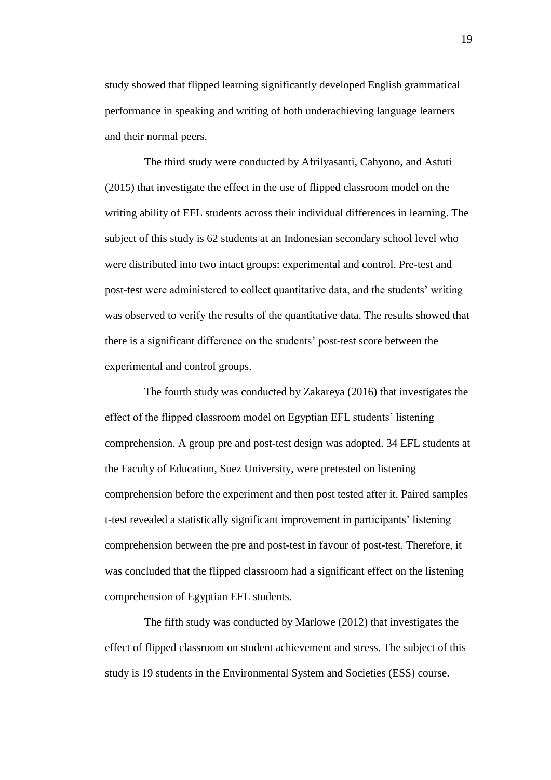study showed that flipped learning significantly developed English grammatical performance in speaking and writing of both underachieving language learners and their normal peers.

The third study were conducted by Afrilyasanti, Cahyono, and Astuti (2015) that investigate the effect in the use of flipped classroom model on the writing ability of EFL students across their individual differences in learning. The subject of this study is 62 students at an Indonesian secondary school level who were distributed into two intact groups: experimental and control. Pre-test and post-test were administered to collect quantitative data, and the students' writing was observed to verify the results of the quantitative data. The results showed that there is a significant difference on the students' post-test score between the experimental and control groups.

The fourth study was conducted by Zakareya (2016) that investigates the effect of the flipped classroom model on Egyptian EFL students' listening comprehension. A group pre and post-test design was adopted. 34 EFL students at the Faculty of Education, Suez University, were pretested on listening comprehension before the experiment and then post tested after it. Paired samples t-test revealed a statistically significant improvement in participants' listening comprehension between the pre and post-test in favour of post-test. Therefore, it was concluded that the flipped classroom had a significant effect on the listening comprehension of Egyptian EFL students.

The fifth study was conducted by Marlowe (2012) that investigates the effect of flipped classroom on student achievement and stress. The subject of this study is 19 students in the Environmental System and Societies (ESS) course.

19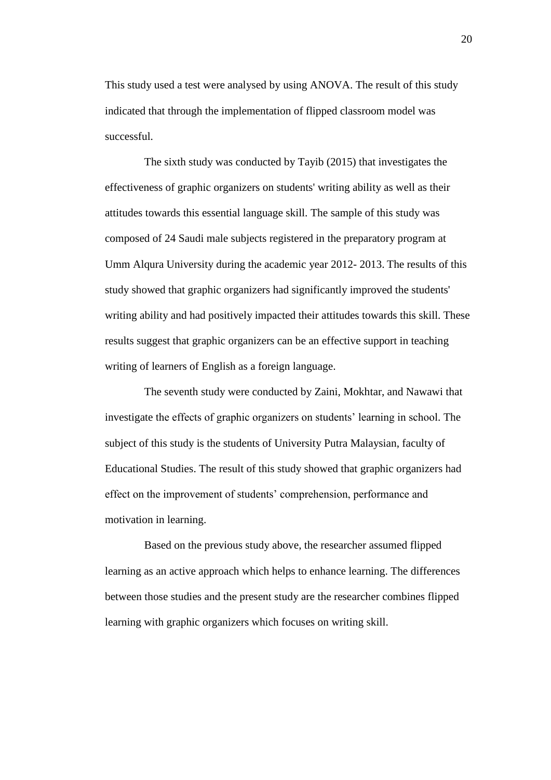This study used a test were analysed by using ANOVA. The result of this study indicated that through the implementation of flipped classroom model was successful.

The sixth study was conducted by Tayib (2015) that investigates the effectiveness of graphic organizers on students' writing ability as well as their attitudes towards this essential language skill. The sample of this study was composed of 24 Saudi male subjects registered in the preparatory program at Umm Alqura University during the academic year 2012- 2013. The results of this study showed that graphic organizers had significantly improved the students' writing ability and had positively impacted their attitudes towards this skill. These results suggest that graphic organizers can be an effective support in teaching writing of learners of English as a foreign language.

The seventh study were conducted by Zaini, Mokhtar, and Nawawi that investigate the effects of graphic organizers on students' learning in school. The subject of this study is the students of University Putra Malaysian, faculty of Educational Studies. The result of this study showed that graphic organizers had effect on the improvement of students' comprehension, performance and motivation in learning.

Based on the previous study above, the researcher assumed flipped learning as an active approach which helps to enhance learning. The differences between those studies and the present study are the researcher combines flipped learning with graphic organizers which focuses on writing skill.